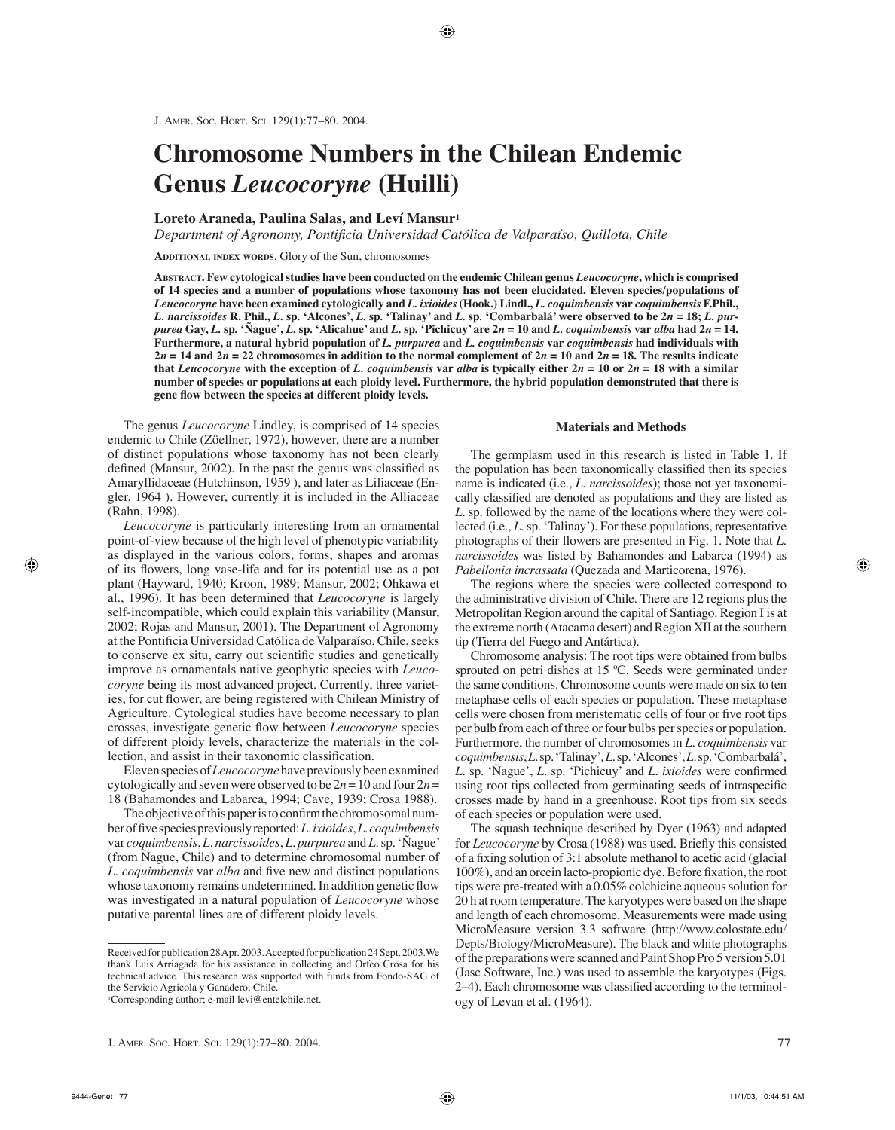# **Chromosome Numbers in the Chilean Endemic Genus** *Leucocoryne* **(Huilli)**

## **Loreto Araneda, Paulina Salas, and Leví Mansur1**

Department of Agronomy, Pontificia Universidad Católica de Valparaíso, Quillota, Chile

**ADDITIONAL INDEX WORDS**. Glory of the Sun, chromosomes

**ABSTRACT. Few cytological studies have been conducted on the endemic Chilean genus** *Leucocoryne***, which is comprised of 14 species and a number of populations whose taxonomy has not been elucidated. Eleven species/populations of**  *Leucocoryne* **have been examined cytologically and** *L. ixioides***(Hook.) Lindl.,** *L. coquimbensis* **var** *coquimbensis* **F.Phil.,**  L. narcissoides R. Phil., L. sp. 'Alcones', L. sp. 'Talinay' and L. sp. 'Combarbalá' were observed to be  $2n = 18$ ; L. purpurea Gay, L. sp. 'Nague', L. sp. 'Alicahue' and L. sp. 'Pichicuy' are  $2n = 10$  and L. coquimbensis var alba had  $2n = 14$ . **Furthermore, a natural hybrid population of** *L. purpurea* **and** *L. coquimbensis* **var** *coquimbensis* **had individuals with**   $2n = 14$  and  $2n = 22$  chromosomes in addition to the normal complement of  $2n = 10$  and  $2n = 18$ . The results indicate that *Leucocoryne* with the exception of *L. coquimbensis* var *alba* is typically either  $2n = 10$  or  $2n = 18$  with a similar **number of species or populations at each ploidy level. Furthermore, the hybrid population demonstrated that there is gene flow between the species at different ploidy levels.** 

The genus *Leucocoryne* Lindley, is comprised of 14 species endemic to Chile (Zöellner, 1972), however, there are a number of distinct populations whose taxonomy has not been clearly defined (Mansur, 2002). In the past the genus was classified as Amaryllidaceae (Hutchinson, 1959 ), and later as Liliaceae (Engler, 1964 ). However, currently it is included in the Alliaceae (Rahn, 1998).

*Leucocoryne* is particularly interesting from an ornamental point-of-view because of the high level of phenotypic variability as displayed in the various colors, forms, shapes and aromas of its flowers, long vase-life and for its potential use as a pot plant (Hayward, 1940; Kroon, 1989; Mansur, 2002; Ohkawa et al*.*, 1996). It has been determined that *Leucocoryne* is largely self-incompatible, which could explain this variability (Mansur, 2002; Rojas and Mansur, 2001). The Department of Agronomy at the Pontificia Universidad Católica de Valparaíso, Chile, seeks to conserve ex situ, carry out scientific studies and genetically improve as ornamentals native geophytic species with *Leucocoryne* being its most advanced project. Currently, three varieties, for cut flower, are being registered with Chilean Ministry of Agriculture. Cytological studies have become necessary to plan crosses, investigate genetic flow between *Leucocoryne* species of different ploidy levels, characterize the materials in the collection, and assist in their taxonomic classification.

Eleven species of *Leucocoryne*have previously been examined cytologically and seven were observed to be  $2n = 10$  and four  $2n =$ 18 (Bahamondes and Labarca, 1994; Cave, 1939; Crosa 1988).

The objective of this paper is to confirm the chromosomal number of five species previously reported: *L. ixioides*, *L. coquimbensis*  var *coquimbensis*, *L. narcissoides*, *L. purpurea* and *L.* sp*.*'Ñague' (from Ñague, Chile) and to determine chromosomal number of *L. coquimbensis* var *alba* and five new and distinct populations whose taxonomy remains undetermined. In addition genetic flow was investigated in a natural population of *Leucocoryne* whose putative parental lines are of different ploidy levels.

#### **Materials and Methods**

The germplasm used in this research is listed in Table 1. If the population has been taxonomically classified then its species name is indicated (i.e., *L. narcissoides*); those not yet taxonomically classified are denoted as populations and they are listed as *L.* sp. followed by the name of the locations where they were collected (i.e., *L.* sp*.* 'Talinay'). For these populations, representative photographs of their flowers are presented in Fig. 1. Note that *L. narcissoides* was listed by Bahamondes and Labarca (1994) as *Pabellonia incrassata* (Quezada and Marticorena, 1976).

The regions where the species were collected correspond to the administrative division of Chile. There are 12 regions plus the Metropolitan Region around the capital of Santiago. Region I is at the extreme north (Atacama desert) and Region XII at the southern tip (Tierra del Fuego and Antártica).

Chromosome analysis: The root tips were obtained from bulbs sprouted on petri dishes at 15 °C. Seeds were germinated under the same conditions. Chromosome counts were made on six to ten metaphase cells of each species or population. These metaphase cells were chosen from meristematic cells of four or five root tips per bulb from each of three or four bulbs per species or population. Furthermore, the number of chromosomes in *L. coquimbensis* var *coquimbensis*,*L.* sp*.* 'Talinay'*,L.* sp*.*'Alcones', *L.* sp*.*'Combarbalá', *L.* sp*.* 'Ñague', *L.* sp*.* 'Pichicuy' and *L. ixioides* were confirmed using root tips collected from germinating seeds of intraspecific crosses made by hand in a greenhouse. Root tips from six seeds of each species or population were used.

The squash technique described by Dyer (1963) and adapted for *Leucocoryne* by Crosa (1988) was used. Briefly this consisted of a fixing solution of 3:1 absolute methanol to acetic acid (glacial 100%), and an orcein lacto-propionic dye. Before fixation, the root tips were pre-treated with a 0.05% colchicine aqueous solution for 20 h at room temperature. The karyotypes were based on the shape and length of each chromosome. Measurements were made using MicroMeasure version 3.3 software (http://www.colostate.edu/ Depts/Biology/MicroMeasure). The black and white photographs of the preparations were scanned and Paint Shop Pro 5 version 5.01 (Jasc Software, Inc.) was used to assemble the karyotypes (Figs. 2–4). Each chromosome was classified according to the terminology of Levan et al. (1964).

Received for publication 28 Apr. 2003. Accepted for publication 24 Sept. 2003.We thank Luis Arriagada for his assistance in collecting and Orfeo Crosa for his technical advice. This research was supported with funds from Fondo-SAG of the Servicio Agricola y Ganadero, Chile.

<sup>1</sup>Corresponding author; e-mail levi@entelchile.net.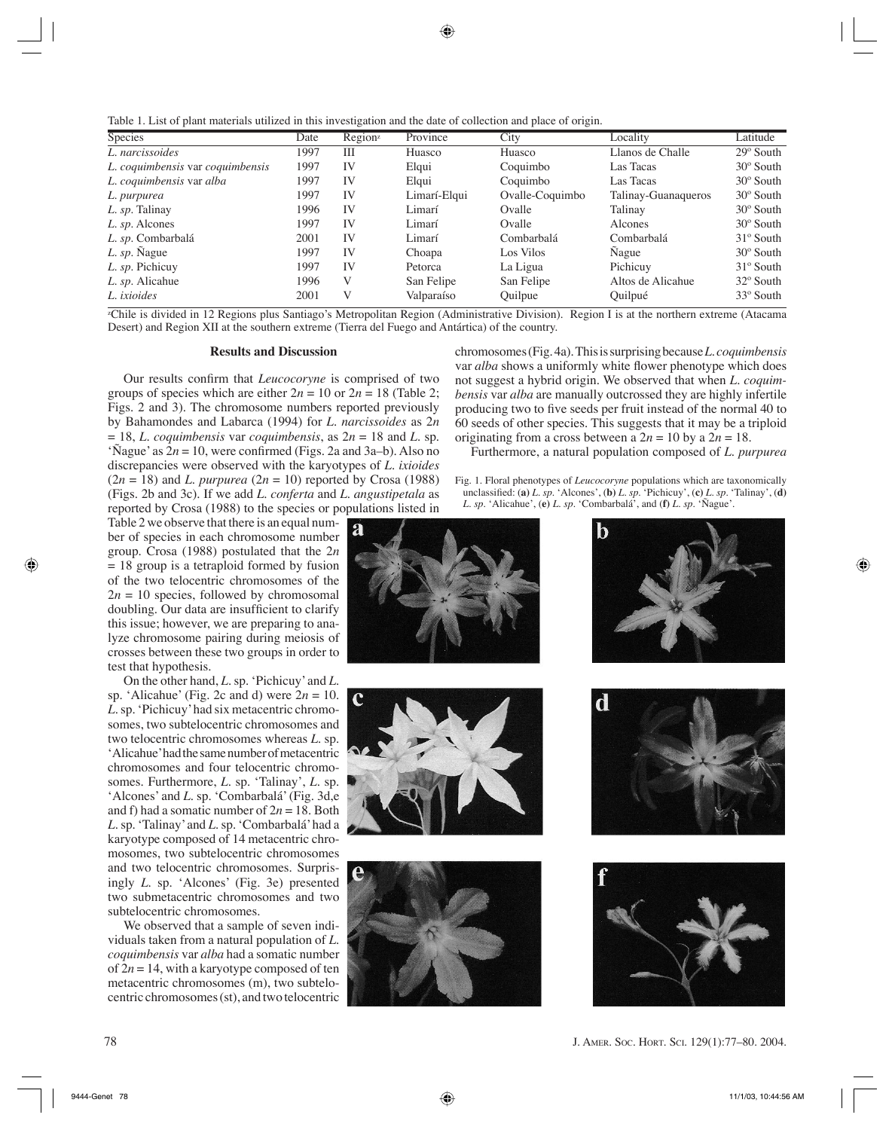Table 1. List of plant materials utilized in this investigation and the date of collection and place of origin.

| <b>Species</b>                   | Date | Region <sup>z</sup> | Province     | City            | Locality            | Latitude           |
|----------------------------------|------|---------------------|--------------|-----------------|---------------------|--------------------|
| L. narcissoides                  | 1997 | Ш                   | Huasco       | Huasco          | Llanos de Challe    | $29^\circ$ South   |
| L. coquimbensis var coquimbensis | 1997 | IV                  | Elqui        | Coquimbo        | Las Tacas           | $30^\circ$ South   |
| L. coquimbensis var alba         | 1997 | IV                  | Elqui        | Coquimbo        | Las Tacas           | $30^{\circ}$ South |
| L. purpurea                      | 1997 | IV                  | Limarí-Elqui | Ovalle-Coquimbo | Talinay-Guanaqueros | $30^{\circ}$ South |
| L. sp. Talinay                   | 1996 | IV                  | Limarí       | Ovalle          | Talinay             | $30^{\circ}$ South |
| L. sp. Alcones                   | 1997 | IV                  | Limarí       | Ovalle          | Alcones             | $30^{\circ}$ South |
| L. sp. Combarbalá                | 2001 | IV                  | Limarí       | Combarbalá      | Combarbalá          | $31^\circ$ South   |
| L. sp. Nague                     | 1997 | IV                  | Choapa       | Los Vilos       | Nague               | $30^{\circ}$ South |
| L. sp. Pichicuy                  | 1997 | IV                  | Petorca      | La Ligua        | Pichicuy            | $31^\circ$ South   |
| L. sp. Alicahue                  | 1996 | V                   | San Felipe   | San Felipe      | Altos de Alicahue   | $32^\circ$ South   |
| L. ixioides                      | 2001 | V                   | Valparaíso   | Quilpue         | Quilpué             | $33^\circ$ South   |

zChile is divided in 12 Regions plus Santiago's Metropolitan Region (Administrative Division). Region I is at the northern extreme (Atacama Desert) and Region XII at the southern extreme (Tierra del Fuego and Antártica) of the country.

## **Results and Discussion**

Our results confirm that *Leucocoryne* is comprised of two groups of species which are either  $2n = 10$  or  $2n = 18$  (Table 2; Figs. 2 and 3). The chromosome numbers reported previously by Bahamondes and Labarca (1994) for *L. narcissoides* as 2*n*  $= 18$ , *L. coquimbensis* var *coquimbensis*, as  $2n = 18$  and *L.* sp. 'Ñague' as  $2n = 10$ , were confirmed (Figs. 2a and 3a–b). Also no discrepancies were observed with the karyotypes of *L. ixioides*  $(2n = 18)$  and *L. purpurea*  $(2n = 10)$  reported by Crosa (1988) (Figs. 2b and 3c). If we add *L. conferta* and *L. angustipetala* as reported by Crosa (1988) to the species or populations listed in

Table 2 we observe that there is an equal number of species in each chromosome number group. Crosa (1988) postulated that the 2*n*  $= 18$  group is a tetraploid formed by fusion of the two telocentric chromosomes of the  $2n = 10$  species, followed by chromosomal doubling. Our data are insufficient to clarify this issue; however, we are preparing to analyze chromosome pairing during meiosis of crosses between these two groups in order to test that hypothesis.

On the other hand, *L.* sp*.* 'Pichicuy' and *L.*  sp*.* 'Alicahue' (Fig. 2c and d) were 2*n* = 10. *L.* sp*.* 'Pichicuy'had six metacentric chromosomes, two subtelocentric chromosomes and two telocentric chromosomes whereas *L.* sp*.*  'Alicahue'had the same number of metacentric chromosomes and four telocentric chromosomes. Furthermore, *L.* sp*.* 'Talinay', *L.* sp*.*  'Alcones' and *L.* sp*.* 'Combarbalá'(Fig. 3d,e and f) had a somatic number of 2*n* = 18. Both *L.* sp*.* 'Talinay' and *L.* sp*.* 'Combarbalá'had a karyotype composed of 14 metacentric chromosomes, two subtelocentric chromosomes and two telocentric chromosomes. Surprisingly *L.* sp. 'Alcones' (Fig. 3e) presented two submetacentric chromosomes and two subtelocentric chromosomes.

We observed that a sample of seven individuals taken from a natural population of *L. coquimbensis* var *alba* had a somatic number of  $2n = 14$ , with a karyotype composed of ten metacentric chromosomes (m), two subtelocentric chromosomes (st), and two telocentric chromosomes (Fig. 4a). This is surprising because *L. coquimbensis*  var *alba* shows a uniformly white flower phenotype which does not suggest a hybrid origin. We observed that when *L. coquimbensis* var *alba* are manually outcrossed they are highly infertile producing two to five seeds per fruit instead of the normal 40 to 60 seeds of other species. This suggests that it may be a triploid originating from a cross between a  $2n = 10$  by a  $2n = 18$ .

Furthermore, a natural population composed of *L. purpurea*

Fig. 1. Floral phenotypes of *Leucocoryne* populations which are taxonomically unclassified: (a) *L. sp.* 'Alcones', (b) *L. sp.* 'Pichicuy', (c) *L. sp.* 'Talinay', (d) *L. sp.* 'Alicahue', (**e)** *L. sp.* 'Combarbalá', and (**f)** *L. sp.* 'Ñague'.











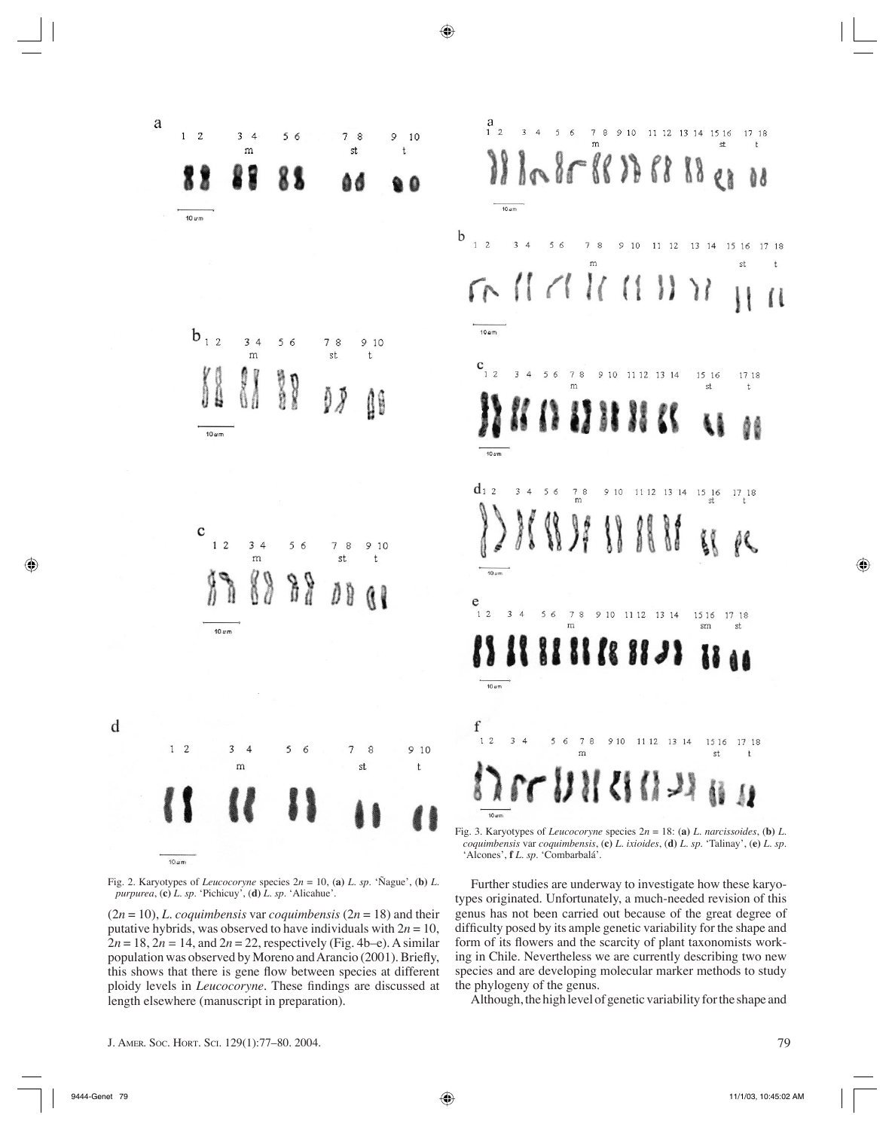

Fig. 2. Karyotypes of *Leucocoryne* species  $2n = 10$ , (a) *L. sp.* 'Ñague', (b) *L. purpurea*, (**c)** *L. sp.* 'Pichicuy', (**d)** *L. sp.* 'Alicahue'.

 $(2n = 10)$ , *L. coquimbensis* var *coquimbensis*  $(2n = 18)$  and their putative hybrids, was observed to have individuals with  $2n = 10$ ,  $2n = 18$ ,  $2n = 14$ , and  $2n = 22$ , respectively (Fig. 4b–e). A similar population was observed by Moreno and Arancio (2001). Briefly, this shows that there is gene flow between species at different ploidy levels in *Leucocoryne*. These findings are discussed at length elsewhere (manuscript in preparation).

*coquimbensis* var *coquimbensis*, (**c)** *L. ixioides*, (**d)** *L. sp.* 'Talinay', (**e)** *L. sp.*  Further studies are underway to investigate how these karyotypes originated. Unfortunately, a much-needed revision of this genus has not been carried out because of the great degree of difficulty posed by its ample genetic variability for the shape and form of its flowers and the scarcity of plant taxonomists work-

11 12 13 14

ing in Chile. Nevertheless we are currently describing two new species and are developing molecular marker methods to study the phylogeny of the genus.

Although, the high level of genetic variability for the shape and

17 18

d 8

 $et$ 

17 18

 $\ddagger$ 

 $\mathsf{t}$ 

 $Q$   $\frac{1}{2}$ 

15 16

st

15 16

sm

1516

st

17 18

17 18

st